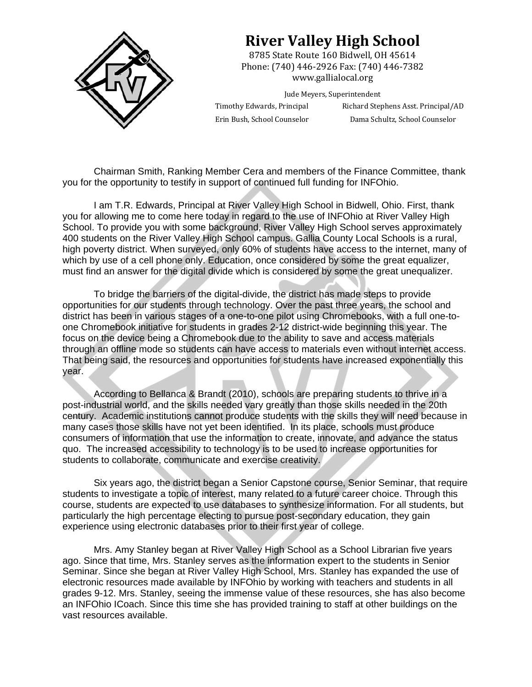

## **River Valley High School**

8785 State Route 160 Bidwell, OH 45614 Phone: (740) 446-2926 Fax: (740) 446-7382 www.gallialocal.org 

Jude Meyers, Superintendent

Timothy Edwards, Principal Richard Stephens Asst. Principal/AD Erin Bush, School Counselor Dama Schultz, School Counselor

Chairman Smith, Ranking Member Cera and members of the Finance Committee, thank you for the opportunity to testify in support of continued full funding for INFOhio.

I am T.R. Edwards, Principal at River Valley High School in Bidwell, Ohio. First, thank you for allowing me to come here today in regard to the use of INFOhio at River Valley High School. To provide you with some background, River Valley High School serves approximately 400 students on the River Valley High School campus. Gallia County Local Schools is a rural, high poverty district. When surveyed, only 60% of students have access to the internet, many of which by use of a cell phone only. Education, once considered by some the great equalizer, must find an answer for the digital divide which is considered by some the great unequalizer.

To bridge the barriers of the digital-divide, the district has made steps to provide opportunities for our students through technology. Over the past three years, the school and district has been in various stages of a one-to-one pilot using Chromebooks, with a full one-toone Chromebook initiative for students in grades 2-12 district-wide beginning this year. The focus on the device being a Chromebook due to the ability to save and access materials through an offline mode so students can have access to materials even without internet access. That being said, the resources and opportunities for students have increased exponentially this year.

According to Bellanca & Brandt (2010), schools are preparing students to thrive in a post-industrial world, and the skills needed vary greatly than those skills needed in the 20th century. Academic institutions cannot produce students with the skills they will need because in many cases those skills have not yet been identified. In its place, schools must produce consumers of information that use the information to create, innovate, and advance the status quo. The increased accessibility to technology is to be used to increase opportunities for students to collaborate, communicate and exercise creativity.

 Six years ago, the district began a Senior Capstone course, Senior Seminar, that require students to investigate a topic of interest, many related to a future career choice. Through this course, students are expected to use databases to synthesize information. For all students, but particularly the high percentage electing to pursue post-secondary education, they gain experience using electronic databases prior to their first year of college.

 Mrs. Amy Stanley began at River Valley High School as a School Librarian five years ago. Since that time, Mrs. Stanley serves as the information expert to the students in Senior Seminar. Since she began at River Valley High School, Mrs. Stanley has expanded the use of electronic resources made available by INFOhio by working with teachers and students in all grades 9-12. Mrs. Stanley, seeing the immense value of these resources, she has also become an INFOhio ICoach. Since this time she has provided training to staff at other buildings on the vast resources available.